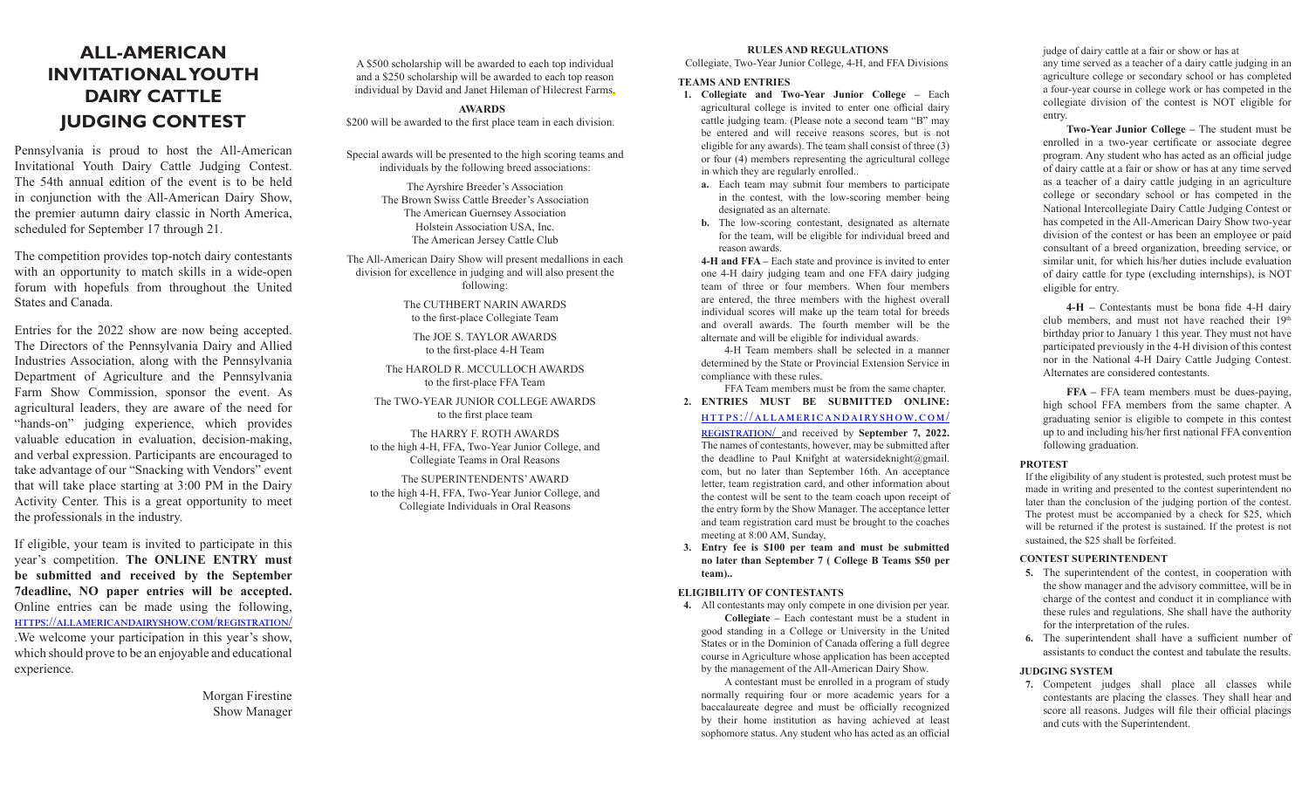# **ALL-AMERICAN INVITATIONAL YOUTH DAIRY CATTLE JUDGING CONTEST**

Pennsylvania is proud to host the All-American Invitational Youth Dairy Cattle Judging Contest. The 54th annual edition of the event is to be held in conjunction with the All-American Dairy Show, the premier autumn dairy classic in North America, scheduled for September 17 through 21.

The competition provides top-notch dairy contestants with an opportunity to match skills in a wide-open forum with hopefuls from throughout the United States and Canada.

Entries for the 2022 show are now being accepted. The Directors of the Pennsylvania Dairy and Allied Industries Association, along with the Pennsylvania Department of Agriculture and the Pennsylvania Farm Show Commission, sponsor the event. As agricultural leaders, they are aware of the need for "hands-on" judging experience, which provides valuable education in evaluation, decision-making, and verbal expression. Participants are encouraged to take advantage of our "Snacking with Vendors" event that will take place starting at 3:00 PM in the Dairy Activity Center. This is a great opportunity to meet the professionals in the industry.

If eligible, your team is invited to participate in this year's competition. **The ONLINE ENTRY must be submitted and received by the September 7deadline, NO paper entries will be accepted.**  Online entries can be made using the following, https://allamericandairyshow.com/registration/ .We welcome your participation in this year's show, which should prove to be an enjoyable and educational experience.

> Morgan Firestine Show Manager

A \$500 scholarship will be awarded to each top individual and a \$250 scholarship will be awarded to each top reason individual by David and Janet Hileman of Hilecrest Farms.

**AWARDS** \$200 will be awarded to the first place team in each division.

Special awards will be presented to the high scoring teams and individuals by the following breed associations:

> The Ayrshire Breeder's Association The Brown Swiss Cattle Breeder's Association The American Guernsey Association Holstein Association USA, Inc. The American Jersey Cattle Club

The All-American Dairy Show will present medallions in each division for excellence in judging and will also present the following:

> The CUTHBERT NARIN AWARDS to the first-place Collegiate Team

The JOE S. TAYLOR AWARDS to the first-place 4-H Team

The HAROLD R. MCCULLOCH AWARDS to the first-place FFA Team

The TWO-YEAR JUNIOR COLLEGE AWARDS to the first place team

The HARRY F. ROTH AWARDS to the high 4-H, FFA, Two-Year Junior College, and Collegiate Teams in Oral Reasons

The SUPERINTENDENTS' AWARD to the high 4-H, FFA, Two-Year Junior College, and Collegiate Individuals in Oral Reasons

## **RULES AND REGULATIONS**

Collegiate, Two-Year Junior College, 4-H, and FFA Divisions

## **TEAMS AND ENTRIES**

- **1. Collegiate and Two-Year Junior College** Each agricultural college is invited to enter one official dairy cattle judging team. (Please note a second team "B" may be entered and will receive reasons scores, but is not eligible for any awards). The team shall consist of three (3) or four (4) members representing the agricultural college in which they are regularly enrolled..
	- **a.** Each team may submit four members to participate in the contest, with the low-scoring member being designated as an alternate.
	- **b.** The low-scoring contestant, designated as alternate for the team, will be eligible for individual breed and reason awards.

**4-H and FFA –** Each state and province is invited to enter one 4-H dairy judging team and one FFA dairy judging team of three or four members. When four members are entered, the three members with the highest overall individual scores will make up the team total for breeds and overall awards. The fourth member will be the alternate and will be eligible for individual awards.

4-H Team members shall be selected in a manner determined by the State or Provincial Extension Service in compliance with these rules.

FFA Team members must be from the same chapter. **2. ENTRIES MUST BE SUBMITTED ONLINE:** 

# https://allamericandairyshow.com/

registration/ and received by **September 7, 2022.**  The names of contestants, however, may be submitted after the deadline to Paul Knifght at watersideknight@gmail. com, but no later than September 16th. An acceptance letter, team registration card, and other information about the contest will be sent to the team coach upon receipt of the entry form by the Show Manager. The acceptance letter and team registration card must be brought to the coaches meeting at 8:00 AM, Sunday,

**3. Entry fee is \$100 per team and must be submitted no later than September 7 ( College B Teams \$50 per team)..**

# **ELIGIBILITY OF CONTESTANTS**

**4.** All contestants may only compete in one division per year. **Collegiate –** Each contestant must be a student in good standing in a College or University in the United States or in the Dominion of Canada offering a full degree course in Agriculture whose application has been accepted by the management of the All-American Dairy Show.

A contestant must be enrolled in a program of study normally requiring four or more academic years for a baccalaureate degree and must be officially recognized by their home institution as having achieved at least sophomore status. Any student who has acted as an official judge of dairy cattle at a fair or show or has at any time served as a teacher of a dairy cattle judging in an agriculture college or secondary school or has completed a four-year course in college work or has competed in the collegiate division of the contest is NOT eligible for entry.

**Two-Year Junior College –** The student must be enrolled in a two-year certificate or associate degree program. Any student who has acted as an official judge of dairy cattle at a fair or show or has at any time served as a teacher of a dairy cattle judging in an agriculture college or secondary school or has competed in the National Intercollegiate Dairy Cattle Judging Contest or has competed in the All-American Dairy Show two-year division of the contest or has been an employee or paid consultant of a breed organization, breeding service, or similar unit, for which his/her duties include evaluation of dairy cattle for type (excluding internships), is NOT eligible for entry.

**4-H –** Contestants must be bona fide 4-H dairy club members, and must not have reached their 19th birthday prior to January 1 this year. They must not have participated previously in the 4-H division of this contest nor in the National 4-H Dairy Cattle Judging Contest. Alternates are considered contestants.

**FFA –** FFA team members must be dues-paying, high school FFA members from the same chapter. A graduating senior is eligible to compete in this contest up to and including his/her first national FFA convention following graduation.

#### **PROTEST**

If the eligibility of any student is protested, such protest must be made in writing and presented to the contest superintendent no later than the conclusion of the judging portion of the contest. The protest must be accompanied by a check for \$25, which will be returned if the protest is sustained. If the protest is not sustained, the \$25 shall be forfeited.

#### **CONTEST SUPERINTENDENT**

- **5.** The superintendent of the contest, in cooperation with the show manager and the advisory committee, will be in charge of the contest and conduct it in compliance with these rules and regulations. She shall have the authority for the interpretation of the rules.
- **6.** The superintendent shall have a sufficient number of assistants to conduct the contest and tabulate the results.

#### **JUDGING SYSTEM**

**7.** Competent judges shall place all classes while contestants are placing the classes. They shall hear and score all reasons. Judges will file their official placings and cuts with the Superintendent.